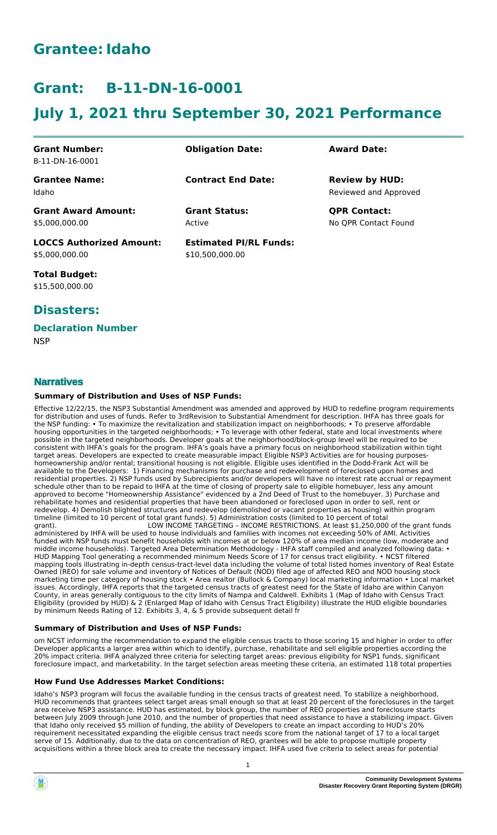# **Grantee:Idaho**

# **Grant: B-11-DN-16-0001**

# **July 1, 2021 thru September 30, 2021 Performance**

| <b>Grant Number:</b><br>B-11-DN-16-0001           | <b>Obligation Date:</b>                          | <b>Award Date:</b>                             |
|---------------------------------------------------|--------------------------------------------------|------------------------------------------------|
| <b>Grantee Name:</b><br>Idaho                     | <b>Contract End Date:</b>                        | <b>Review by HUD:</b><br>Reviewed and Approved |
| <b>Grant Award Amount:</b><br>\$5.000.000.00      | <b>Grant Status:</b><br>Active                   | <b>QPR Contact:</b><br>No OPR Contact Found    |
| <b>LOCCS Authorized Amount:</b><br>\$5,000,000.00 | <b>Estimated PI/RL Funds:</b><br>\$10,500,000.00 |                                                |

**Total Budget:** \$15,500,000.00

# **Disasters:**

#### **Declaration Number**

**NSP** 

### **Narratives**

#### **Summary of Distribution and Uses of NSP Funds:**

Effective 12/22/15, the NSP3 Substantial Amendment was amended and approved by HUD to redefine program requirements for distribution and uses of funds. Refer to 3rdRevision to Substantial Amendment for description. IHFA has three goals for the NSP funding: • To maximize the revitalization and stabilization impact on neighborhoods; • To preserve affordable housing opportunities in the targeted neighborhoods; • To leverage with other federal, state and local investments where possible in the targeted neighborhoods. Developer goals at the neighborhood/block-group level will be required to be consistent with IHFA's goals for the program. IHFA's goals have a primary focus on neighborhood stabilization within tight target areas. Developers are expected to create measurable impact Eligible NSP3 Activities are for housing purposeshomeownership and/or rental; transitional housing is not eligible. Eligible uses identified in the Dodd-Frank Act will be available to the Developers: 1) Financing mechanisms for purchase and redevelopment of foreclosed upon homes and residential properties. 2) NSP funds used by Subrecipients and/or developers will have no interest rate accrual or repayment schedule other than to be repaid to IHFA at the time of closing of property sale to eligible homebuyer, less any amount approved to become "Homeownership Assistance" evidenced by a 2nd Deed of Trust to the homebuyer. 3) Purchase and rehabilitate homes and residential properties that have been abandoned or foreclosed upon in order to sell, rent or redevelop. 4) Demolish blighted structures and redevelop (demolished or vacant properties as housing) within program timeline (limited to 10 percent of total grant funds). 5) Administration costs (limited to 10 percent of total

LOW INCOME TARGETING - INCOME RESTRICTIONS. At least \$1,250,000 of the grant funds administered by IHFA will be used to house individuals and families with incomes not exceeding 50% of AMI. Activities funded with NSP funds must benefit households with incomes at or below 120% of area median income (low, moderate and middle income households). Targeted Area Determination Methodology - IHFA staff compiled and analyzed following data: • HUD Mapping Tool generating a recommended minimum Needs Score of 17 for census tract eligibility. • NCST filtered mapping tools illustrating in-depth census-tract-level data including the volume of total listed homes inventory of Real Estate Owned (REO) for sale volume and inventory of Notices of Default (NOD) filed age of affected REO and NOD housing stock marketing time per category of housing stock • Area realtor (Bullock & Company) local marketing information • Local market issues. Accordingly, IHFA reports that the targeted census tracts of greatest need for the State of Idaho are within Canyon County, in areas generally contiguous to the city limits of Nampa and Caldwell. Exhibits 1 (Map of Idaho with Census Tract Eligibility (provided by HUD) & 2 (Enlarged Map of Idaho with Census Tract Eligibility) illustrate the HUD eligible boundaries by minimum Needs Rating of 12. Exhibits 3, 4, & 5 provide subsequent detail fr

#### **Summary of Distribution and Uses of NSP Funds:**

om NCST informing the recommendation to expand the eligible census tracts to those scoring 15 and higher in order to offer Developer applicants a larger area within which to identify, purchase, rehabilitate and sell eligible properties according the 20% impact criteria. IHFA analyzed three criteria for selecting target areas: previous eligibility for NSP1 funds, significant foreclosure impact, and marketability. In the target selection areas meeting these criteria, an estimated 118 total properties

#### **How Fund Use Addresses Market Conditions:**

Idaho's NSP3 program will focus the available funding in the census tracts of greatest need. To stabilize a neighborhood, HUD recommends that grantees select target areas small enough so that at least 20 percent of the foreclosures in the target area receive NSP3 assistance. HUD has estimated, by block group, the number of REO properties and foreclosure starts between July 2009 through June 2010, and the number of properties that need assistance to have a stabilizing impact. Given that Idaho only received \$5 million of funding, the ability of Developers to create an impact according to HUD's 20% requirement necessitated expanding the eligible census tract needs score from the national target of 17 to a local target serve of 15. Additionally, due to the data on concentration of REO, grantees will be able to propose multiple property acquisitions within a three block area to create the necessary impact. IHFA used five criteria to select areas for potential



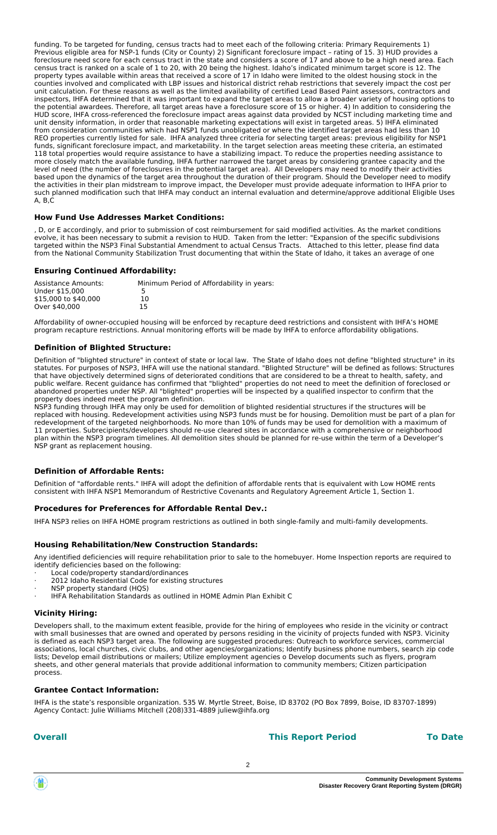funding. To be targeted for funding, census tracts had to meet each of the following criteria: Primary Requirements 1) Previous eligible area for NSP-1 funds (City or County) 2) Significant foreclosure impact - rating of 15. 3) HUD provides a foreclosure need score for each census tract in the state and considers a score of 17 and above to be a high need area. Each census tract is ranked on a scale of 1 to 20, with 20 being the highest. Idaho's indicated minimum target score is 12. The property types available within areas that received a score of 17 in Idaho were limited to the oldest housing stock in the counties involved and complicated with LBP issues and historical district rehab restrictions that severely impact the cost per unit calculation. For these reasons as well as the limited availability of certified Lead Based Paint assessors, contractors and inspectors, IHFA determined that it was important to expand the target areas to allow a broader variety of housing options to the potential awardees. Therefore, all target areas have a foreclosure score of 15 or higher. 4) In addition to considering the HUD score, IHFA cross-referenced the foreclosure impact areas against data provided by NCST including marketing time and unit density information, in order that reasonable marketing expectations will exist in targeted areas. 5) IHFA eliminated from consideration communities which had NSP1 funds unobligated or where the identified target areas had less than 10 REO properties currently listed for sale. IHFA analyzed three criteria for selecting target areas: previous eligibility for NSP1 funds, significant foreclosure impact, and marketability. In the target selection areas meeting these criteria, an estimated 118 total properties would require assistance to have a stabilizing impact. To reduce the properties needing assistance to more closely match the available funding, IHFA further narrowed the target areas by considering grantee capacity and the level of need (the number of foreclosures in the potential target area). All Developers may need to modify their activities based upon the dynamics of the target area throughout the duration of their program. Should the Developer need to modify the activities in their plan midstream to improve impact, the Developer must provide adequate information to IHFA prior to such planned modification such that IHFA may conduct an internal evaluation and determine/approve additional Eligible Uses A, B,C

#### **How Fund Use Addresses Market Conditions:**

, D, or E accordingly, and prior to submission of cost reimbursement for said modified activities. As the market conditions evolve, it has been necessary to submit a revision to HUD. Taken from the letter: "Expansion of the specific subdivisions targeted within the NSP3 Final Substantial Amendment to actual Census Tracts. Attached to this letter, please find data from the National Community Stabilization Trust documenting that within the State of Idaho, it takes an average of one

#### **Ensuring Continued Affordability:**

| Assistance Amounts:  | Minimum Period of Affordability in years: |
|----------------------|-------------------------------------------|
| Under \$15,000       |                                           |
| \$15,000 to \$40,000 | 10                                        |
| Over \$40,000        | 15                                        |

Affordability of owner-occupied housing will be enforced by recapture deed restrictions and consistent with IHFA's HOME program recapture restrictions. Annual monitoring efforts will be made by IHFA to enforce affordability obligations.

#### **Definition of Blighted Structure:**

Definition of "blighted structure" in context of state or local law. The State of Idaho does not define "blighted structure" in its statutes. For purposes of NSP3, IHFA will use the national standard. "Blighted Structure" will be defined as follows: Structures that have objectively determined signs of deteriorated conditions that are considered to be a threat to health, safety, and public welfare. Recent guidance has confirmed that "blighted" properties do not need to meet the definition of foreclosed or abandoned properties under NSP. All "blighted" properties will be inspected by a qualified inspector to confirm that the property does indeed meet the program definition.

NSP3 funding through IHFA may only be used for demolition of blighted residential structures if the structures will be replaced with housing. Redevelopment activities using NSP3 funds must be for housing. Demolition must be part of a plan for redevelopment of the targeted neighborhoods. No more than 10% of funds may be used for demolition with a maximum of 11 properties. Subrecipients/developers should re-use cleared sites in accordance with a comprehensive or neighborhood plan within the NSP3 program timelines. All demolition sites should be planned for re-use within the term of a Developer's NSP grant as replacement housing.

#### **Definition of Affordable Rents:**

Definition of "affordable rents." IHFA will adopt the definition of affordable rents that is equivalent with Low HOME rents consistent with IHFA NSP1 Memorandum of Restrictive Covenants and Regulatory Agreement Article 1, Section 1.

#### **Procedures for Preferences for Affordable Rental Dev.:**

IHFA NSP3 relies on IHFA HOME program restrictions as outlined in both single-family and multi-family developments.

#### **Housing Rehabilitation/New Construction Standards:**

Any identified deficiencies will require rehabilitation prior to sale to the homebuyer. Home Inspection reports are required to identify deficiencies based on the following:

- Local code/property standard/ordinances
- 2012 Idaho Residential Code for existing structures NSP property standard (HOS)
- · IHFA Rehabilitation Standards as outlined in HOME Admin Plan Exhibit C

#### **Vicinity Hiring:**

Developers shall, to the maximum extent feasible, provide for the hiring of employees who reside in the vicinity or contract with small businesses that are owned and operated by persons residing in the vicinity of projects funded with NSP3. Vicinity is defined as each NSP3 target area. The following are suggested procedures: Outreach to workforce services, commercial associations, local churches, civic clubs, and other agencies/organizations; Identify business phone numbers, search zip code lists; Develop email distributions or mailers; Utilize employment agencies o Develop documents such as flyers, program sheets, and other general materials that provide additional information to community members; Citizen participation process.

#### **Grantee Contact Information:**

IHFA is the state's responsible organization. 535 W. Myrtle Street, Boise, ID 83702 (PO Box 7899, Boise, ID 83707-1899) Agency Contact: Julie Williams Mitchell (208)331-4889 juliew@ihfa.org

#### **Overall This Report Period To Date**

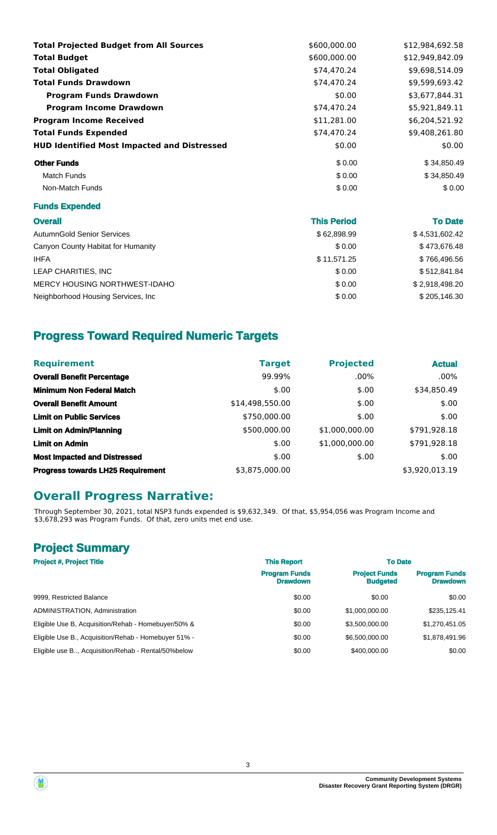| <b>Total Projected Budget from All Sources</b>     | \$600,000.00 | \$12.984.692.58 |
|----------------------------------------------------|--------------|-----------------|
| <b>Total Budget</b>                                | \$600,000.00 | \$12,949,842.09 |
| <b>Total Obligated</b>                             | \$74,470.24  | \$9,698,514.09  |
| <b>Total Funds Drawdown</b>                        | \$74,470.24  | \$9,599,693.42  |
| <b>Program Funds Drawdown</b>                      | \$0.00       | \$3,677,844.31  |
| <b>Program Income Drawdown</b>                     | \$74,470.24  | \$5,921,849.11  |
| <b>Program Income Received</b>                     | \$11,281.00  | \$6,204,521.92  |
| <b>Total Funds Expended</b>                        | \$74,470.24  | \$9.408.261.80  |
| <b>HUD Identified Most Impacted and Distressed</b> | \$0.00       | \$0.00          |
| <b>Other Funds</b>                                 | \$0.00       | \$34,850.49     |
| <b>Match Funds</b>                                 | \$0.00       | \$34,850.49     |
| Non-Match Funds                                    | \$0.00       | \$0.00          |

#### **Funds Expended**

| ۰. | ×<br>v |  |
|----|--------|--|
|    |        |  |

| <b>Overall</b>                      | <b>This Period</b> | <b>To Date</b> |
|-------------------------------------|--------------------|----------------|
| <b>AutumnGold Senior Services</b>   | \$62,898.99        | \$4,531,602.42 |
| Canyon County Habitat for Humanity  | \$0.00             | \$473,676.48   |
| <b>IHFA</b>                         | \$11,571.25        | \$766,496.56   |
| LEAP CHARITIES. INC                 | \$0.00             | \$512.841.84   |
| MERCY HOUSING NORTHWEST-IDAHO       | \$0.00             | \$2,918,498.20 |
| Neighborhood Housing Services, Inc. | \$0.00             | \$205,146.30   |

# **Progress Toward Required Numeric Targets**

| <b>Requirement</b>                       | <b>Target</b>   | <b>Projected</b> | <b>Actual</b>  |
|------------------------------------------|-----------------|------------------|----------------|
| <b>Overall Benefit Percentage</b>        | 99.99%          | $.00\%$          | $.00\%$        |
| <b>Minimum Non Federal Match</b>         | \$.00           | \$.00            | \$34,850.49    |
| <b>Overall Benefit Amount</b>            | \$14,498,550.00 | \$.00            | \$.00          |
| <b>Limit on Public Services</b>          | \$750,000.00    | \$.00            | \$.00          |
| <b>Limit on Admin/Planning</b>           | \$500,000.00    | \$1,000,000.00   | \$791,928.18   |
| <b>Limit on Admin</b>                    | \$.00           | \$1,000,000.00   | \$791,928.18   |
| <b>Most Impacted and Distressed</b>      | \$.00           | \$.00            | \$.00          |
| <b>Progress towards LH25 Requirement</b> | \$3,875,000.00  |                  | \$3,920,013.19 |

# **Overall Progress Narrative:**

Through September 30, 2021, total NSP3 funds expended is \$9,632,349. Of that, \$5,954,056 was Program Income and \$3,678,293 was Program Funds. Of that, zero units met end use.

# **Project Summary**

| <b>Project #, Project Title</b>                      | <b>This Report</b>                      | <b>To Date</b>                          |                                         |  |
|------------------------------------------------------|-----------------------------------------|-----------------------------------------|-----------------------------------------|--|
|                                                      | <b>Program Funds</b><br><b>Drawdown</b> | <b>Project Funds</b><br><b>Budgeted</b> | <b>Program Funds</b><br><b>Drawdown</b> |  |
| 9999, Restricted Balance                             | \$0.00                                  | \$0.00                                  | \$0.00                                  |  |
| ADMINISTRATION, Administration                       | \$0.00                                  | \$1,000,000,00                          | \$235,125.41                            |  |
| Eligible Use B, Acquisition/Rehab - Homebuyer/50% &  | \$0.00                                  | \$3.500,000,00                          | \$1,270,451.05                          |  |
| Eligible Use B., Acquisition/Rehab - Homebuver 51% - | \$0.00                                  | \$6,500,000,00                          | \$1,878,491.96                          |  |
| Eligible use B Acquisition/Rehab - Rental/50%below   | \$0.00                                  | \$400,000,00                            | \$0.00                                  |  |

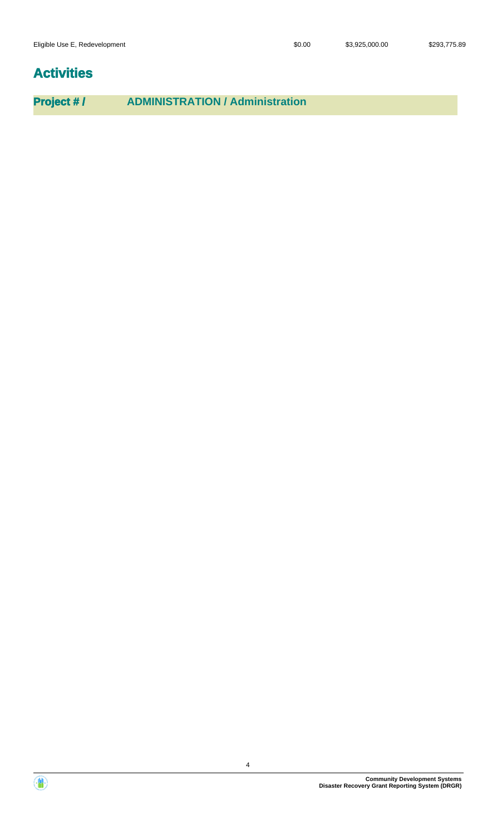# **Activities**

**Project # / ADMINISTRATION / Administration**



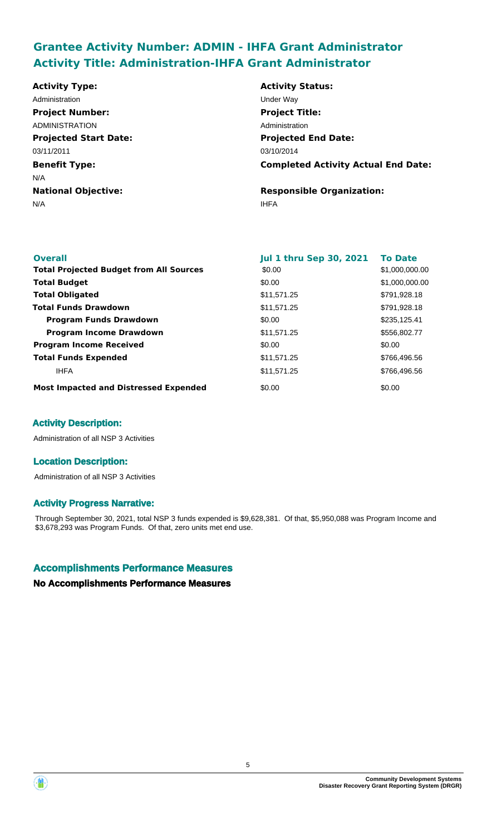# **Grantee Activity Number: ADMIN - IHFA Grant Administrator Activity Title: Administration-IHFA Grant Administrator**

**Projected Start Date: Benefit Type:** N/A IHFA **National Objective: Activity Status: Projected End Date: Completed Activity Actual End Date: Activity Type:** 03/10/2014 03/11/2011 N/A **Responsible Organization:** Administration **National Contract Contract Contract Contract Contract Contract Contract Contract Contract Contract Contract Contract Contract Contract Contract Contract Contract Contract Contract Contract Contract Contract Project Number:** ADMINISTRATION **Project Title:** Administration

| <b>Overall</b>                                 | <b>Jul 1 thru Sep 30, 2021</b> | <b>To Date</b> |
|------------------------------------------------|--------------------------------|----------------|
|                                                |                                |                |
| <b>Total Projected Budget from All Sources</b> | \$0.00                         | \$1,000,000.00 |
| <b>Total Budget</b>                            | \$0.00                         | \$1,000,000.00 |
| <b>Total Obligated</b>                         | \$11,571.25                    | \$791,928.18   |
| <b>Total Funds Drawdown</b>                    | \$11,571.25                    | \$791,928.18   |
| <b>Program Funds Drawdown</b>                  | \$0.00                         | \$235,125.41   |
| <b>Program Income Drawdown</b>                 | \$11,571.25                    | \$556,802.77   |
| <b>Program Income Received</b>                 | \$0.00                         | \$0.00         |
| <b>Total Funds Expended</b>                    | \$11,571.25                    | \$766,496.56   |
| <b>IHFA</b>                                    | \$11,571.25                    | \$766,496.56   |
| <b>Most Impacted and Distressed Expended</b>   | \$0.00                         | \$0.00         |

### **Activity Description:**

Administration of all NSP 3 Activities

#### **Location Description:**

Administration of all NSP 3 Activities

#### **Activity Progress Narrative:**

Through September 30, 2021, total NSP 3 funds expended is \$9,628,381. Of that, \$5,950,088 was Program Income and \$3,678,293 was Program Funds. Of that, zero units met end use.

#### **Accomplishments Performance Measures**

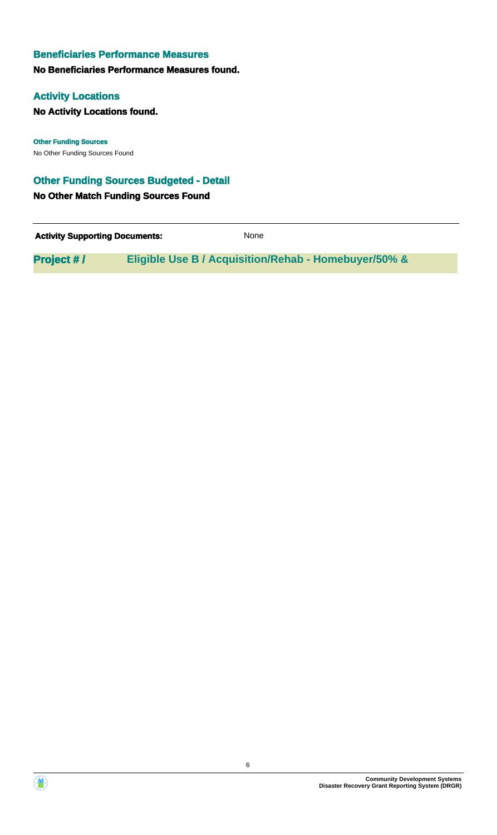#### **No Beneficiaries Performance Measures found.**

#### **Activity Locations**

**No Activity Locations found.**

No Other Funding Sources Found **Other Funding Sources**

#### **Other Funding Sources Budgeted - Detail**

**No Other Match Funding Sources Found**

**Activity Supporting Documents:** None

**Project # / Eligible Use B / Acquisition/Rehab - Homebuyer/50% &**



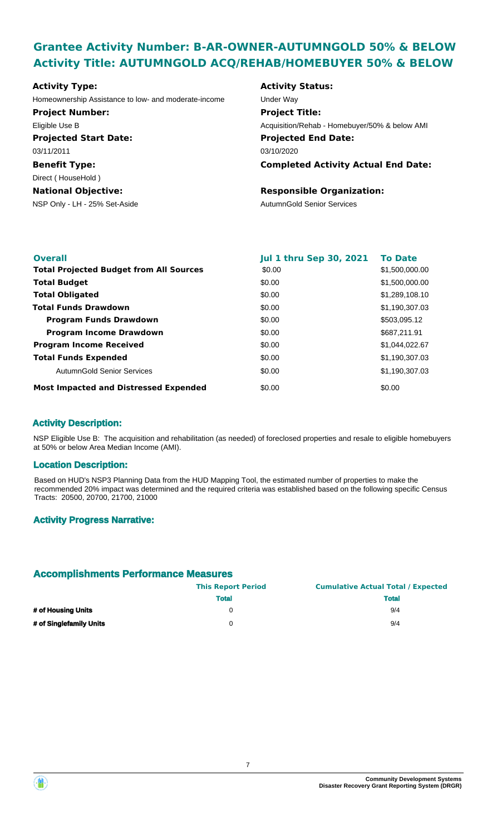# **Grantee Activity Number: B-AR-OWNER-AUTUMNGOLD 50% & BELOW Activity Title: AUTUMNGOLD ACQ/REHAB/HOMEBUYER 50% & BELOW**

| Homeownership Assistance to low- and moderate-income<br>Under Way<br><b>Project Number:</b><br><b>Project Title:</b><br>Eligible Use B<br><b>Projected Start Date:</b><br><b>Projected End Date:</b><br>03/11/2011<br>03/10/2020<br><b>Benefit Type:</b> | Acquisition/Rehab - Homebuyer/50% & below AMI |
|----------------------------------------------------------------------------------------------------------------------------------------------------------------------------------------------------------------------------------------------------------|-----------------------------------------------|
|                                                                                                                                                                                                                                                          |                                               |
|                                                                                                                                                                                                                                                          |                                               |
|                                                                                                                                                                                                                                                          |                                               |
|                                                                                                                                                                                                                                                          |                                               |
|                                                                                                                                                                                                                                                          |                                               |
|                                                                                                                                                                                                                                                          | <b>Completed Activity Actual End Date:</b>    |
| Direct (HouseHold)                                                                                                                                                                                                                                       |                                               |
| <b>Responsible Organization:</b><br><b>National Objective:</b>                                                                                                                                                                                           |                                               |
| NSP Only - LH - 25% Set-Aside<br><b>AutumnGold Senior Services</b>                                                                                                                                                                                       |                                               |

| <b>Overall</b>                                 | <b>Jul 1 thru Sep 30, 2021</b> | <b>To Date</b> |
|------------------------------------------------|--------------------------------|----------------|
| <b>Total Projected Budget from All Sources</b> | \$0.00                         | \$1,500,000.00 |
| <b>Total Budget</b>                            | \$0.00                         | \$1,500,000.00 |
| <b>Total Obligated</b>                         | \$0.00                         | \$1,289,108.10 |
| <b>Total Funds Drawdown</b>                    | \$0.00                         | \$1,190,307.03 |
| <b>Program Funds Drawdown</b>                  | \$0.00                         | \$503,095.12   |
| <b>Program Income Drawdown</b>                 | \$0.00                         | \$687,211.91   |
| <b>Program Income Received</b>                 | \$0.00                         | \$1,044,022.67 |
| <b>Total Funds Expended</b>                    | \$0.00                         | \$1,190,307.03 |
| AutumnGold Senior Services                     | \$0.00                         | \$1,190,307.03 |
| <b>Most Impacted and Distressed Expended</b>   | \$0.00                         | \$0.00         |

### **Activity Description:**

NSP Eligible Use B: The acquisition and rehabilitation (as needed) of foreclosed properties and resale to eligible homebuyers at 50% or below Area Median Income (AMI).

#### **Location Description:**

Based on HUD's NSP3 Planning Data from the HUD Mapping Tool, the estimated number of properties to make the recommended 20% impact was determined and the required criteria was established based on the following specific Census Tracts: 20500, 20700, 21700, 21000

#### **Activity Progress Narrative:**

|                         | <b>This Report Period</b> | <b>Cumulative Actual Total / Expected</b> |
|-------------------------|---------------------------|-------------------------------------------|
|                         | <b>Total</b>              | <b>Total</b>                              |
| # of Housing Units      |                           | 9/4                                       |
| # of Singlefamily Units |                           | 9/4                                       |

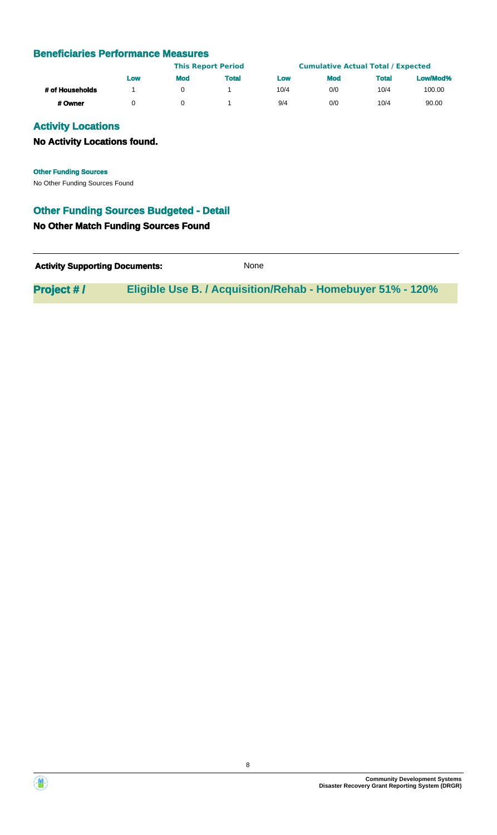|                 |     | <b>This Report Period</b> |              | <b>Cumulative Actual Total / Expected</b> |            |              |          |
|-----------------|-----|---------------------------|--------------|-------------------------------------------|------------|--------------|----------|
|                 | Low | <b>Mod</b>                | <b>Total</b> | Low                                       | <b>Mod</b> | <b>Total</b> | Low/Mod% |
| # of Households |     |                           |              | 10/4                                      | 0/0        | 10/4         | 100.00   |
| # Owner         |     |                           |              | 9/4                                       | 0/0        | 10/4         | 90.00    |

### **Activity Locations**

### **No Activity Locations found.**

**Other Funding Sources**

No Other Funding Sources Found

### **Other Funding Sources Budgeted - Detail**

#### **No Other Match Funding Sources Found**

| <b>Activity Supporting Documents:</b> | None                                                              |  |
|---------------------------------------|-------------------------------------------------------------------|--|
| <b>Project #/</b>                     | <b>Eligible Use B. / Acquisition/Rehab - Homebuyer 51% - 120%</b> |  |

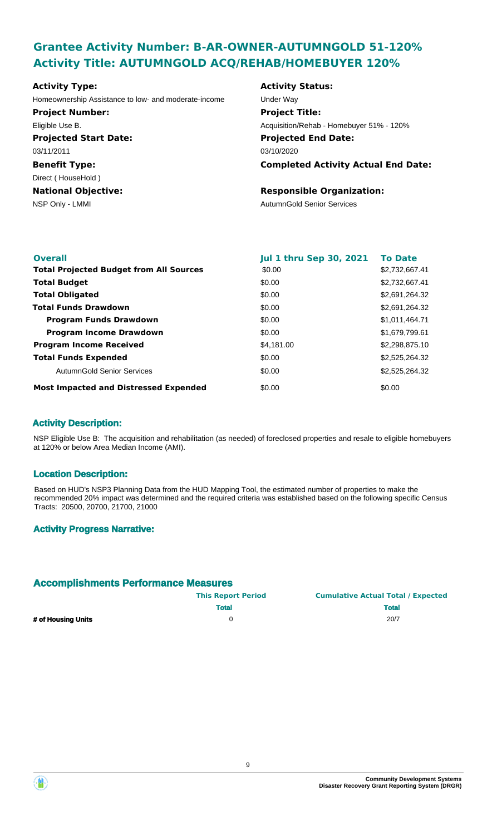# **Grantee Activity Number: B-AR-OWNER-AUTUMNGOLD 51-120% Activity Title: AUTUMNGOLD ACQ/REHAB/HOMEBUYER 120%**

# **Projected Start Date: Benefit Type:** NSP Only - LMMI AutumnGold Senior Services **National Objective: Activity Type:** 03/11/2011 Direct ( HouseHold ) Homeownership Assistance to low- and moderate-income Under Way **Project Number:** Eligible Use B.

# **Activity Status: Projected End Date: Completed Activity Actual End Date:** 03/10/2020 **Project Title:** Acquisition/Rehab - Homebuyer 51% - 120%

#### **Responsible Organization:**

| <b>Overall</b>                                 | <b>Jul 1 thru Sep 30, 2021</b> | <b>To Date</b> |
|------------------------------------------------|--------------------------------|----------------|
| <b>Total Projected Budget from All Sources</b> | \$0.00                         | \$2,732,667.41 |
| <b>Total Budget</b>                            | \$0.00                         | \$2,732,667.41 |
| <b>Total Obligated</b>                         | \$0.00                         | \$2,691,264.32 |
| <b>Total Funds Drawdown</b>                    | \$0.00                         | \$2,691,264.32 |
| <b>Program Funds Drawdown</b>                  | \$0.00                         | \$1,011,464.71 |
| <b>Program Income Drawdown</b>                 | \$0.00                         | \$1,679,799.61 |
| <b>Program Income Received</b>                 | \$4,181.00                     | \$2,298,875.10 |
| <b>Total Funds Expended</b>                    | \$0.00                         | \$2,525,264.32 |
| AutumnGold Senior Services                     | \$0.00                         | \$2,525,264.32 |
| <b>Most Impacted and Distressed Expended</b>   | \$0.00                         | \$0.00         |

### **Activity Description:**

NSP Eligible Use B: The acquisition and rehabilitation (as needed) of foreclosed properties and resale to eligible homebuyers at 120% or below Area Median Income (AMI).

#### **Location Description:**

Based on HUD's NSP3 Planning Data from the HUD Mapping Tool, the estimated number of properties to make the recommended 20% impact was determined and the required criteria was established based on the following specific Census Tracts: 20500, 20700, 21700, 21000

#### **Activity Progress Narrative:**

|                    | <b>This Report Period</b> | <b>Cumulative Actual Total / Expected</b> |
|--------------------|---------------------------|-------------------------------------------|
|                    | <b>Total</b>              | <b>Total</b>                              |
| # of Housing Units |                           | 20/7                                      |



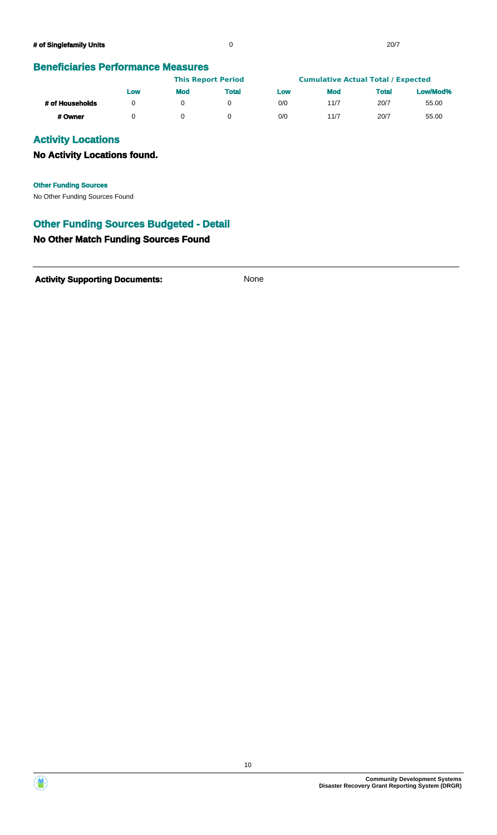|                 | <b>This Report Period</b> |            |       | <b>Cumulative Actual Total / Expected</b> |            |              |          |
|-----------------|---------------------------|------------|-------|-------------------------------------------|------------|--------------|----------|
|                 | Low                       | <b>Mod</b> | Total | Low                                       | <b>Mod</b> | <b>Total</b> | Low/Mod% |
| # of Households |                           |            |       | 0/0                                       | 11/7       | 20/7         | 55.00    |
| # Owner         |                           |            |       | 0/0                                       | 11/7       | 20/7         | 55.00    |

### **Activity Locations**

### **No Activity Locations found.**

No Other Funding Sources Found **Other Funding Sources**

### **Other Funding Sources Budgeted - Detail**

#### **No Other Match Funding Sources Found**

Activity **Supporting Documents:** None



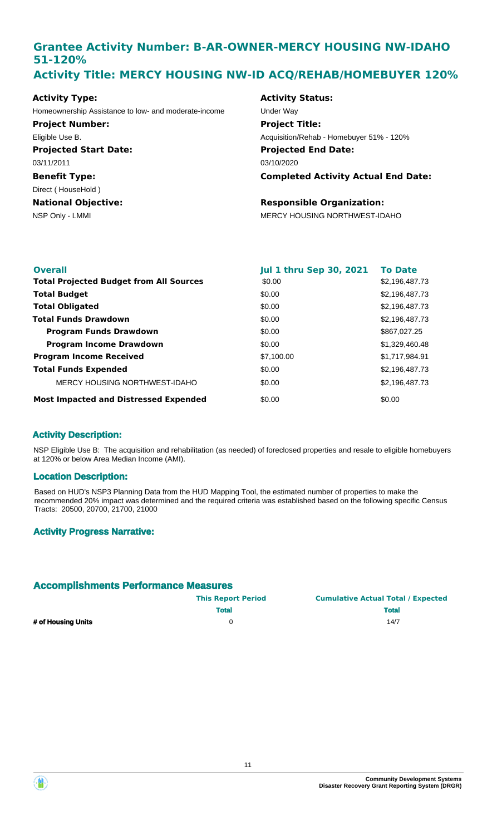# **Grantee Activity Number: B-AR-OWNER-MERCY HOUSING NW-IDAHO 51-120% Activity Title: MERCY HOUSING NW-ID ACQ/REHAB/HOMEBUYER 120%**

**Projected Start Date: Benefit Type:** NSP Only - LMMI MERCY HOUSING NORTHWEST-IDAHO **National Objective: Activity Type:** 03/11/2011 Direct ( HouseHold ) Homeownership Assistance to low- and moderate-income Under Way **Project Number:** Eligible Use B.

#### **Activity Status:**

**Projected End Date: Completed Activity Actual End Date:** 03/10/2020 **Project Title:** Acquisition/Rehab - Homebuyer 51% - 120%

### **Responsible Organization:**

| <b>Overall</b>                                 | <b>Jul 1 thru Sep 30, 2021</b> | <b>To Date</b> |
|------------------------------------------------|--------------------------------|----------------|
| <b>Total Projected Budget from All Sources</b> | \$0.00                         | \$2,196,487.73 |
| <b>Total Budget</b>                            | \$0.00                         | \$2,196,487.73 |
| <b>Total Obligated</b>                         | \$0.00                         | \$2,196,487.73 |
| <b>Total Funds Drawdown</b>                    | \$0.00                         | \$2,196,487.73 |
| <b>Program Funds Drawdown</b>                  | \$0.00                         | \$867,027.25   |
| <b>Program Income Drawdown</b>                 | \$0.00                         | \$1,329,460.48 |
| <b>Program Income Received</b>                 | \$7,100.00                     | \$1,717,984.91 |
| <b>Total Funds Expended</b>                    | \$0.00                         | \$2,196,487.73 |
| MERCY HOUSING NORTHWEST-IDAHO                  | \$0.00                         | \$2,196,487.73 |
| <b>Most Impacted and Distressed Expended</b>   | \$0.00                         | \$0.00         |

#### **Activity Description:**

NSP Eligible Use B: The acquisition and rehabilitation (as needed) of foreclosed properties and resale to eligible homebuyers at 120% or below Area Median Income (AMI).

#### **Location Description:**

Based on HUD's NSP3 Planning Data from the HUD Mapping Tool, the estimated number of properties to make the recommended 20% impact was determined and the required criteria was established based on the following specific Census Tracts: 20500, 20700, 21700, 21000

#### **Activity Progress Narrative:**

|                    | <b>This Report Period</b> | <b>Cumulative Actual Total / Expected</b> |
|--------------------|---------------------------|-------------------------------------------|
|                    | <b>Total</b>              | <b>Total</b>                              |
| # of Housing Units |                           | 14/7                                      |



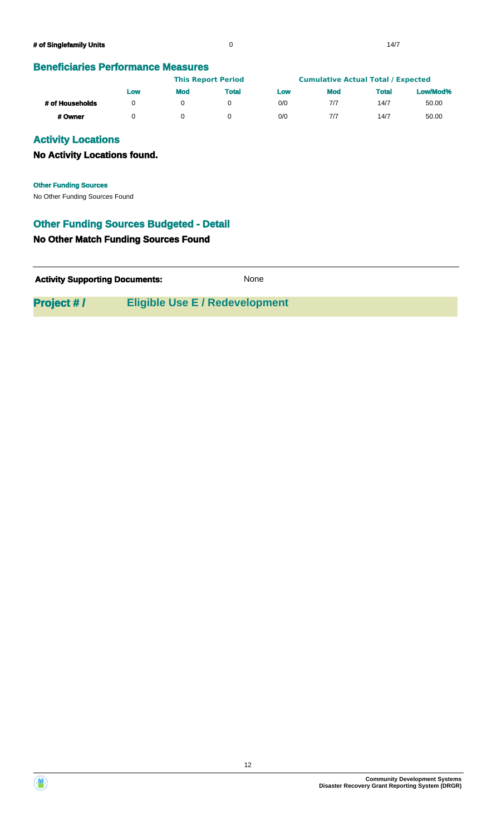|                 |     | <b>This Report Period</b> |       | <b>Cumulative Actual Total / Expected</b> |            |       |          |
|-----------------|-----|---------------------------|-------|-------------------------------------------|------------|-------|----------|
|                 | Low | <b>Mod</b>                | Total | Low                                       | <b>Mod</b> | Total | Low/Mod% |
| # of Households |     |                           |       | 0/0                                       | 7/7        | 14/7  | 50.00    |
| # Owner         |     |                           |       | 0/0                                       | 7/7        | 14/7  | 50.00    |

### **Activity Locations**

### **No Activity Locations found.**

No Other Funding Sources Found **Other Funding Sources**

## **Other Funding Sources Budgeted - Detail**

#### **No Other Match Funding Sources Found**

| None |
|------|
|      |

12

**Project # / Eligible Use E / Redevelopment**

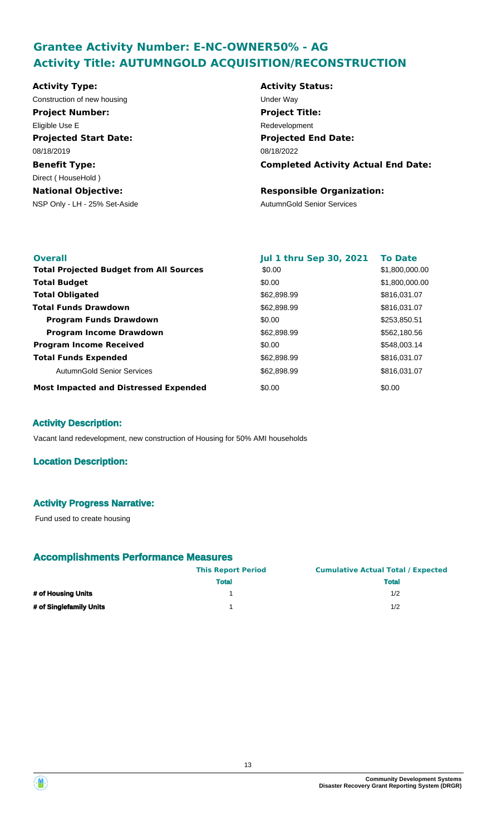# **Grantee Activity Number: E-NC-OWNER50% - AG Activity Title: AUTUMNGOLD ACQUISITION/RECONSTRUCTION**

**Projected Start Date: Benefit Type:** NSP Only - LH - 25% Set-Aside AutumnGold Senior Services **National Objective: Activity Status: Projected End Date: Completed Activity Actual End Date: Activity Type:** 08/18/2022 08/18/2019 Direct ( HouseHold ) **Responsible Organization:** Construction of new housing Theorem 2012 Construction of the Way **Project Number:** Eligible Use E **Project Title:** Redevelopment

| <b>Overall</b>                                 | <b>Jul 1 thru Sep 30, 2021</b> | <b>To Date</b> |
|------------------------------------------------|--------------------------------|----------------|
| <b>Total Projected Budget from All Sources</b> | \$0.00                         | \$1,800,000.00 |
| <b>Total Budget</b>                            | \$0.00                         | \$1,800,000.00 |
| <b>Total Obligated</b>                         | \$62,898.99                    | \$816,031.07   |
| <b>Total Funds Drawdown</b>                    | \$62,898.99                    | \$816,031.07   |
| <b>Program Funds Drawdown</b>                  | \$0.00                         | \$253,850.51   |
| <b>Program Income Drawdown</b>                 | \$62,898.99                    | \$562,180.56   |
| <b>Program Income Received</b>                 | \$0.00                         | \$548,003.14   |
| <b>Total Funds Expended</b>                    | \$62,898.99                    | \$816,031.07   |
| AutumnGold Senior Services                     | \$62,898.99                    | \$816,031.07   |
| <b>Most Impacted and Distressed Expended</b>   | \$0.00                         | \$0.00         |

### **Activity Description:**

Vacant land redevelopment, new construction of Housing for 50% AMI households

#### **Location Description:**

#### **Activity Progress Narrative:**

Fund used to create housing

|                         | <b>This Report Period</b> | <b>Cumulative Actual Total / Expected</b> |
|-------------------------|---------------------------|-------------------------------------------|
|                         | <b>Total</b>              | <b>Total</b>                              |
| # of Housing Units      |                           | 1/2                                       |
| # of Singlefamily Units |                           | 1/2                                       |